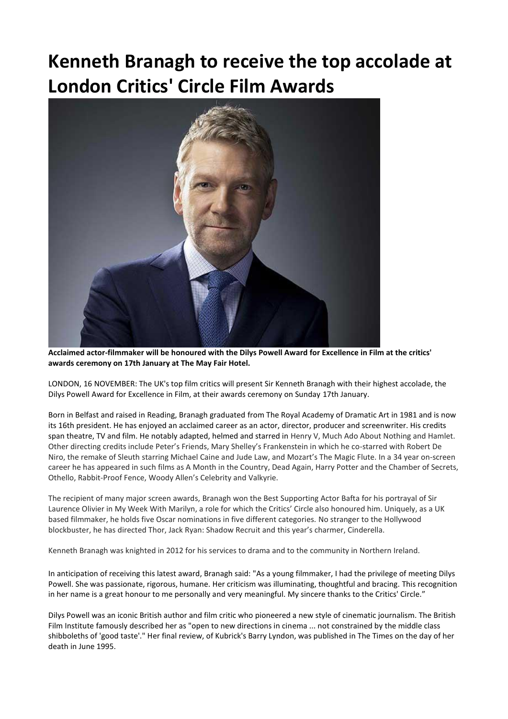# **Kenneth Branagh to receive the top accolade at London Critics' Circle Film Awards**



**Acclaimed actor-filmmaker will be honoured with the Dilys Powell Award for Excellence in Film at the critics' awards ceremony on 17th January at The May Fair Hotel.**

LONDON, 16 NOVEMBER: The UK's top film critics will present Sir Kenneth Branagh with their highest accolade, the Dilys Powell Award for Excellence in Film, at their awards ceremony on Sunday 17th January.

Born in Belfast and raised in Reading, Branagh graduated from The Royal Academy of Dramatic Art in 1981 and is now its 16th president. He has enjoyed an acclaimed career as an actor, director, producer and screenwriter. His credits span theatre, TV and film. He notably adapted, helmed and starred in Henry V, Much Ado About Nothing and Hamlet. Other directing credits include Peter's Friends, Mary Shelley's Frankenstein in which he co-starred with Robert De Niro, the remake of Sleuth starring Michael Caine and Jude Law, and Mozart's The Magic Flute. In a 34 year on-screen career he has appeared in such films as A Month in the Country, Dead Again, Harry Potter and the Chamber of Secrets, Othello, Rabbit-Proof Fence, Woody Allen's Celebrity and Valkyrie.

The recipient of many major screen awards, Branagh won the Best Supporting Actor Bafta for his portrayal of Sir Laurence Olivier in My Week With Marilyn, a role for which the Critics' Circle also honoured him. Uniquely, as a UK based filmmaker, he holds five Oscar nominations in five different categories. No stranger to the Hollywood blockbuster, he has directed Thor, Jack Ryan: Shadow Recruit and this year's charmer, Cinderella.

Kenneth Branagh was knighted in 2012 for his services to drama and to the community in Northern Ireland.

In anticipation of receiving this latest award, Branagh said: "As a young filmmaker, I had the privilege of meeting Dilys Powell. She was passionate, rigorous, humane. Her criticism was illuminating, thoughtful and bracing. This recognition in her name is a great honour to me personally and very meaningful. My sincere thanks to the Critics' Circle."

Dilys Powell was an iconic British author and film critic who pioneered a new style of cinematic journalism. The British Film Institute famously described her as "open to new directions in cinema ... not constrained by the middle class shibboleths of 'good taste'." Her final review, of Kubrick's Barry Lyndon, was published in The Times on the day of her death in June 1995.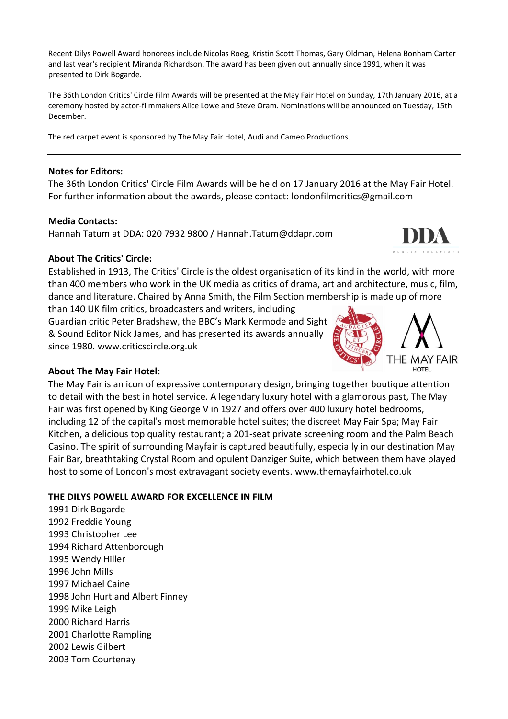Recent Dilys Powell Award honorees include Nicolas Roeg, Kristin Scott Thomas, Gary Oldman, Helena Bonham Carter and last year's recipient Miranda Richardson. The award has been given out annually since 1991, when it was presented to Dirk Bogarde.

The 36th London Critics' Circle Film Awards will be presented at the May Fair Hotel on Sunday, 17th January 2016, at a ceremony hosted by actor-filmmakers Alice Lowe and Steve Oram. Nominations will be announced on Tuesday, 15th December.

The red carpet event is sponsored by The May Fair Hotel, Audi and Cameo Productions.

#### **Notes for Editors:**

The 36th London Critics' Circle Film Awards will be held on 17 January 2016 at the May Fair Hotel. For further information about the awards, please contact: [londonfilmcritics@gmail.com](mailto:londonfilmcritics@gmail.com)

### **Media Contacts:**

Hannah Tatum at DDA: 020 7932 9800 / Hannah.Tatum@ddapr.com



### **About The Critics' Circle:**

Established in 1913, The Critics' Circle is the oldest organisation of its kind in the world, with more than 400 members who work in the UK media as critics of drama, art and architecture, music, film, dance and literature. Chaired by Anna Smith, the Film Section membership is made up of more

than 140 UK film critics, broadcasters and writers, including

Guardian critic Peter Bradshaw, the BBC's Mark Kermode and Sight & Sound Editor Nick James, and has presented its awards annually since 1980. [www.criticscircle.org.uk](http://www.criticscircle.org.uk/)



## **About The May Fair Hotel:**

The May Fair is an icon of expressive contemporary design, bringing together boutique attention to detail with the best in hotel service. A legendary luxury hotel with a glamorous past, The May Fair was first opened by King George V in 1927 and offers over 400 luxury hotel bedrooms, including 12 of the capital's most memorable hotel suites; the discreet May Fair Spa; May Fair Kitchen, a delicious top quality restaurant; a 201-seat private screening room and the Palm Beach Casino. The spirit of surrounding Mayfair is captured beautifully, especially in our destination May Fair Bar, breathtaking Crystal Room and opulent Danziger Suite, which between them have played host to some of London's most extravagant society events. [www.themayfairhotel.co.uk](file:///C:/Users/e022017/AppData/Local/Microsoft/Windows/Temporary%20Internet%20Files/Content.Outlook/TBNPMDAP/www.themayfairhotel.co.uk,)

### **THE DILYS POWELL AWARD FOR EXCELLENCE IN FILM**

1991 Dirk Bogarde 1992 Freddie Young 1993 Christopher Lee 1994 Richard Attenborough 1995 Wendy Hiller 1996 John Mills 1997 Michael Caine 1998 John Hurt and Albert Finney 1999 Mike Leigh 2000 Richard Harris 2001 Charlotte Rampling 2002 Lewis Gilbert 2003 Tom Courtenay